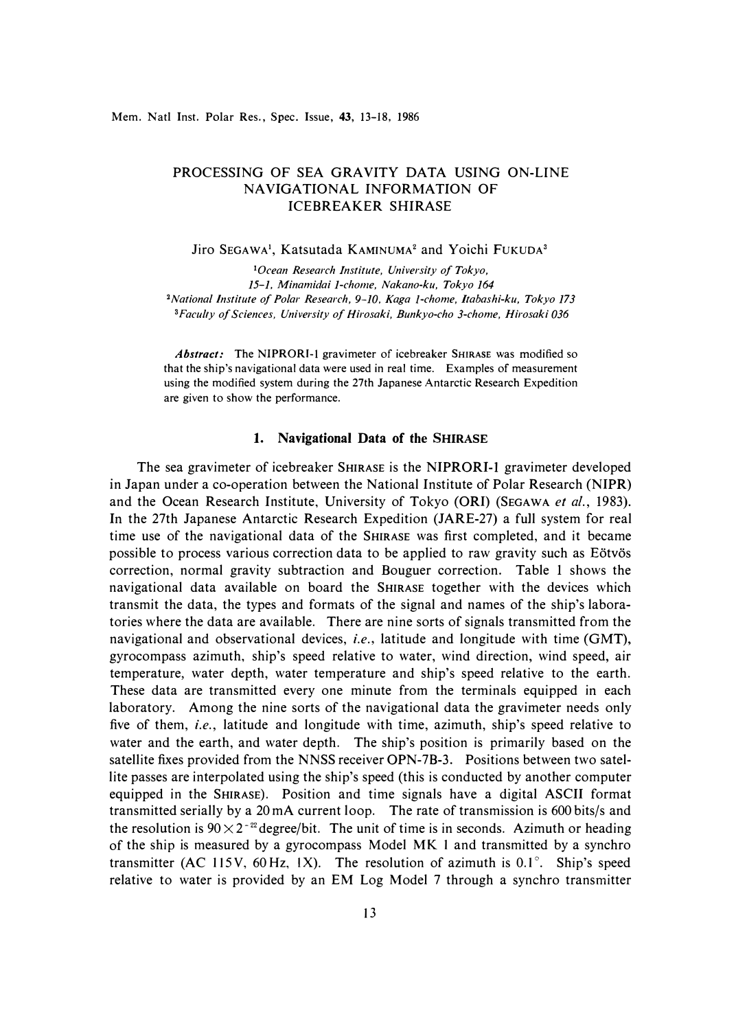# PROCESSING OF SEA GRAVITY DATA USING ON-LINE NAVIGATIONAL INFORMATION OF ICEBREAKER SHIRASE

**Jiro SEGAWA<sup>1</sup> , Katsutada KAMINUMA2 and Yoichi FUKUDA<sup>3</sup>**

*<sup>1</sup>0cean Research Institute, University of Tokyo, 15-1. Minamidai 1-chome, Nakano-ku, Tokyo 164*  <sup>2</sup> National Institute of Polar Research, 9-10, Kaga 1-chome, Itabashi-ku, Tokyo 173 *<sup>3</sup>Faculty of Sciences, University of Hirosaki, Bunkyo-cho 3-chome, Hirosaki 036* 

*Abstract:* The **NIPRORI-1** gravimeter of icebreaker **SHIRASE** was modified so that the ship's navigational data were used in real time. Examples of measurement using the modified system during the 27th Japanese Antarctic Research Expedition are given to show the performance.

# **1. Navigational Data of the SHIRASE**

The sea gravimeter of icebreaker SHIRASE is the **NIPRORl-1** gravimeter developed in Japan under a co-operation between the National Institute of Polar Research **(NIPR)**  and the Ocean Research Institute, University of Tokyo **(ORI)** (SEGAWA *et al.,* 1983). In the 27th Japanese Antarctic Research Expedition (JARE-27) a full system for real time use of the navigational data of the SHIRASE was first completed, and it became possible to process various correction data to be applied to raw gravity such as Eötvös correction, normal gravity subtraction and Bouguer correction. Table I shows the navigational data available on board the SHIRASE together with the devices which transmit the data, the types and formats of the signal and names of the ship's laboratories where the data are available. There are nine sorts of signals transmitted from the navigational and observational devices, *i.e.,* latitude and longitude with time **(GMT),**  gyrocompass azimuth, ship's speed relative to water, wind direction, wind speed, air temperature, water depth, water temperature and ship's speed relative to the earth. These data are transmitted every one minute from the terminals equipped in each laboratory. Among the nine sorts of the navigational data the gravimeter needs only five of them, *i.e.,* latitude and longitude with time, azimuth, ship's speed relative to water and the earth, and water depth. The ship's position is primarily based on the satellite fixes provided from the **NNSS** receiver **OPN-**7B-3. Positions between two satellite passes are interpolated using the ship's speed (this is conducted by another computer equipped in the SHIRASE). Position and time signals have a digital **ASCII** format transmitted serially by a 20 mA current loop. The rate of transmission is 600 bits/s and the resolution is  $90 \times 2^{-22}$  degree/bit. The unit of time is in seconds. Azimuth or heading of the ship is measured by a gyrocompass Model MK 1 and transmitted by a synchro transmitter (AC 115V, 60Hz, **IX).** The resolution of azimuth is 0.1° . Ship's speed relative to water is provided by an EM Log Model 7 through a synchro transmitter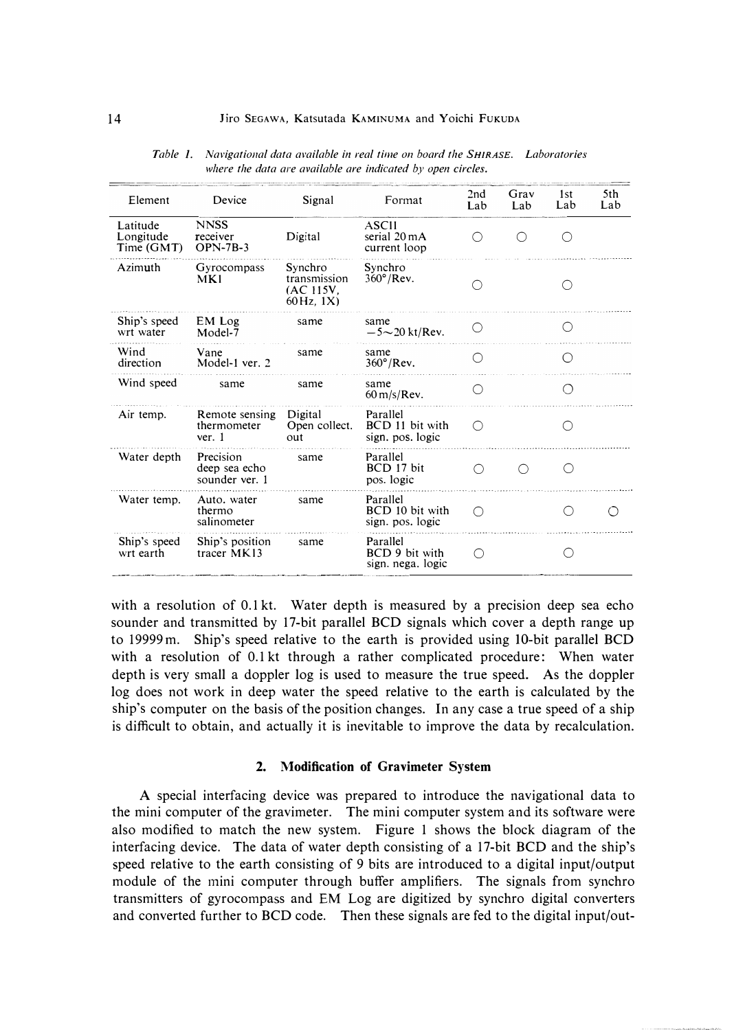| Element                             | Device                                       | Signal                                                                    | Format                                          | 2nd<br>Lab | Grav<br>Lab | 1st<br>Lab | 5th<br>Lab |
|-------------------------------------|----------------------------------------------|---------------------------------------------------------------------------|-------------------------------------------------|------------|-------------|------------|------------|
| Latitude<br>Longitude<br>Time (GMT) | <b>NNSS</b><br>receiver<br>$OPN-7B-3$        | Digital                                                                   | ASCII<br>serial 20 mA<br>current loop           | ( )        | ( )         | ()         |            |
| Azimuth                             | Gyrocompass<br>MKI                           | Synchro<br>transmission<br>(AC 115V.<br>$60\,\text{Hz}$ , $1\,\text{X}$ ) | Synchro<br>$360^\circ$ /Rev.                    |            |             |            |            |
| Ship's speed<br>wrt water           | EM Log<br>Model-7                            | same                                                                      | same<br>$-5{\sim}20$ kt/Rev.                    |            |             |            |            |
| Wind<br>direction                   | Vane<br>Model-1 ver. 2                       | same                                                                      | same<br>$360^\circ$ /Rev.                       |            |             |            |            |
| Wind speed                          | same                                         | same                                                                      | same<br>$60 \text{ m/s/Rev}$ .                  |            |             |            |            |
| Air temp.                           | Remote sensing<br>thermometer<br>ver. 1      | Digital<br>Open collect.<br>out                                           | Parallel<br>BCD 11 bit with<br>sign. pos. logic | ∩          |             |            |            |
| Water depth                         | Precision<br>deep sea echo<br>sounder ver. 1 | same                                                                      | Parallel<br>BCD 17 bit<br>pos. logic            | ◯          | ()          | ◯          |            |
| Water temp.                         | Auto, water<br>thermo<br>salinometer         | same                                                                      | Parallel<br>BCD 10 bit with<br>sign. pos. logic | ∩          |             |            |            |
| Ship's speed<br>wrt earth           | Ship's position<br>tracer MK13               | same                                                                      | Parallel<br>BCD 9 bit with<br>sign. nega. logic | ◯          |             |            |            |

*Table I. Navigational data available in real time on board the SHIRASE. Laboratories*  where the data are available are indicated by open circles.

with a resolution of 0.1 kt. Water depth is measured by a precision deep sea echo sounder and transmitted by 17-bit parallel BCD signals which cover a depth range up to 19999 m. Ship's speed relative to the earth is provided using IO-bit parallel BCD with a resolution of 0.1 kt through a rather complicated procedure: When water depth is very small a doppler log is used to measure the true speed. As the doppler log does not work in deep water the speed relative to the earth is calculated by the ship's computer on the basis of the position changes. In any case a true speed of a ship is difficult to obtain, and actually it is inevitable to improve the data by recalculation.

# **2. Modification of Gravimeter System**

A special interfacing device was prepared to introduce the navigational data to the mini computer of the gravimeter. The mini computer system and its software were also modified to match the new system. Figure 1 shows the block diagram of the interfacing device. The data of water depth consisting of a 17-bit BCD and the ship's speed relative to the earth consisting of 9 bits are introduced to a digital input/output module of the mini computer through buffer amplifiers. The signals from synchro transmitters of gyrocompass and EM Log are digitized by synchro digital converters and converted further to BCD code. Then these signals are fed to the digital input/out-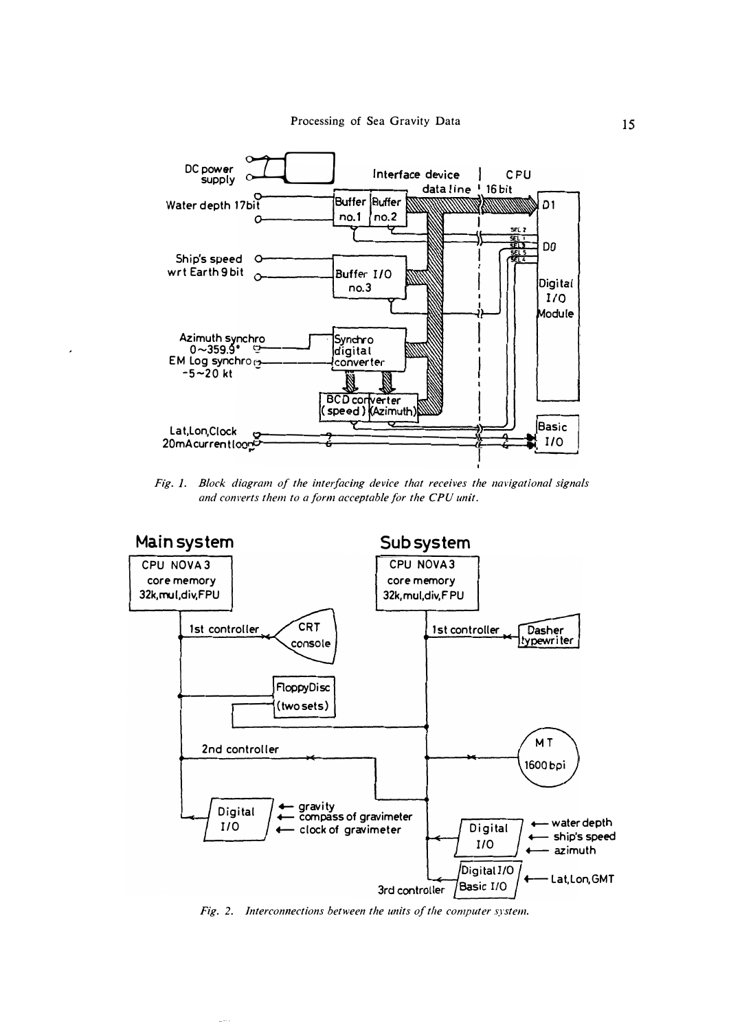

Fig. 1. Block diagram of the interfacing device that receives the navigational signals and converts them to a form acceptable for the CPU unit.



Fig. 2. Interconnections between the units of the computer system.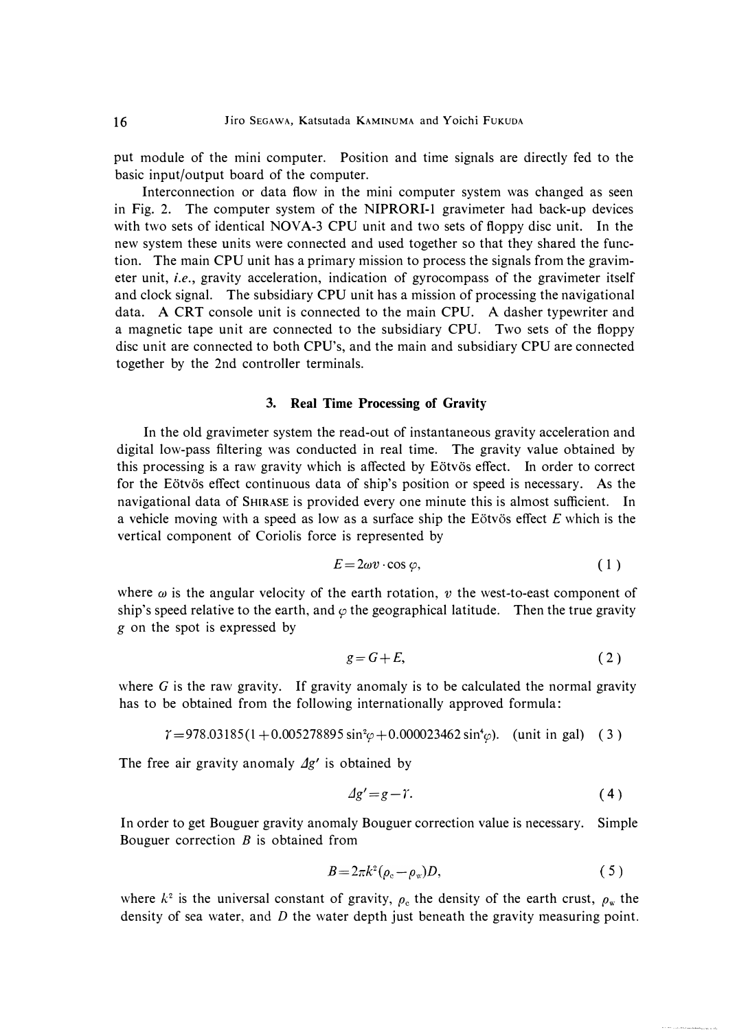put module of the mini computer. Position and time signals are directly fed to the basic input/output board of the computer.

Interconnection or data flow in the mini computer system was changed as seen in Fig. 2. The computer system of the **NIPRORI-1** gravimeter had back-up devices with two sets of identical **NOVA-3 CPU** unit and two sets of floppy disc unit. In the new system these units were connected and used together so that they shared the function. The main CPU unit has a primary mission to process the signals from the gravimeter unit, *i.e.,* gravity acceleration, indication of gyrocompass of the gravimeter itself and clock signal. The subsidiary CPU unit has a mission of processing the navigational data. A CRT console unit is connected to the main CPU. A dasher typewriter and a magnetic tape unit are connected to the subsidiary CPU. Two sets of the floppy disc unit are connected to both CPU's, and the main and subsidiary CPU are connected together by the 2nd controller terminals.

# **3. Real Time Processing of Gravity**

In the old gravimeter system the read-out of instantaneous gravity acceleration and digital low-pass filtering was conducted in real time. The gravity value obtained by this processing is a raw gravity which is affected by Eötvös effect. In order to correct for the Eötvös effect continuous data of ship's position or speed is necessary. As the navigational data of SHIRASE is provided every one minute this is almost sufficient. In a vehicle moving with a speed as low as a surface ship the Eötvös effect *E* which is the vertical component of Coriolis force is represented by

$$
E = 2\omega v \cdot \cos \varphi, \tag{1}
$$

where  $\omega$  is the angular velocity of the earth rotation,  $v$  the west-to-east component of ship's speed relative to the earth, and  $\varphi$  the geographical latitude. Then the true gravity *g* on the spot is expressed by

$$
g = G + E,\tag{2}
$$

where  $G$  is the raw gravity. If gravity anomaly is to be calculated the normal gravity has to be obtained from the following internationally approved formula:

 $\gamma = 978.03185(1 + 0.005278895 \sin^2\varphi + 0.000023462 \sin^4\varphi)$ . (unit in gal) (3)

The free air gravity anomaly  $\Delta g'$  is obtained by

$$
\Delta g' = g - \gamma. \tag{4}
$$

In order to get Bouguer gravity anomaly Bouguer correction value is necessary. Simple Bouguer correction  $B$  is obtained from

$$
B=2\pi k^2(\rho_c-\rho_w)D,\qquad \qquad (5)
$$

where  $k^2$  is the universal constant of gravity,  $\rho_c$  the density of the earth crust,  $\rho_w$  the density of sea water, and  $D$  the water depth just beneath the gravity measuring point.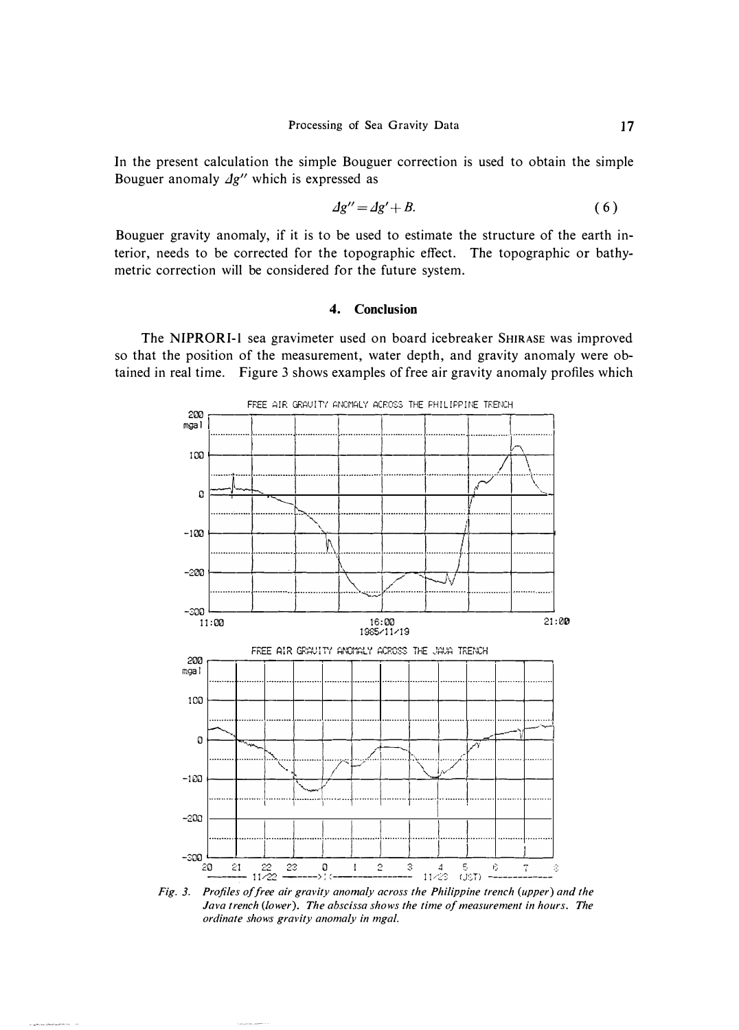In the present calculation the simple Bouguer correction is used to obtain the simple Bouguer anomaly  $\Delta g''$  which is expressed as

$$
\Delta g'' = \Delta g' + B. \tag{6}
$$

17

Bouguer gravity anomaly, if it is to be used to estimate the structure of the earth interior, needs to be corrected for the topographic effect. The topographic or bathymetric correction will be considered for the future system.

#### Conclusion  $\boldsymbol{4}$ .

The NIPRORI-1 sea gravimeter used on board icebreaker SHIRASE was improved so that the position of the measurement, water depth, and gravity anomaly were obtained in real time. Figure 3 shows examples of free air gravity anomaly profiles which



Fig. 3. Profiles of free air gravity anomaly across the Philippine trench (upper) and the Java trench (lower). The abscissa shows the time of measurement in hours. The ordinate shows gravity anomaly in mgal.